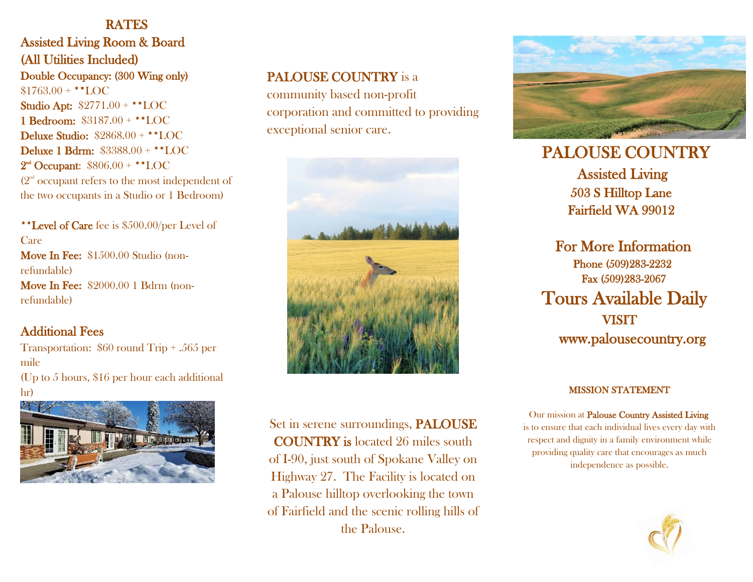## **RATES**

Assisted Living Room & Board (All Utilities Included) Double Occupancy: (300 Wing only)  $$1763.00 + **LOC$ Studio Apt: \$2771.00 + \*\*LOC 1 Bedroom: \$3187.00 + \*\*LOC Deluxe Studio: \$2868.00 + \*\*LOC Deluxe 1 Bdrm: \$3388.00 + \*\*LOC  $2<sup>nd</sup>$  Occupant:  $$806.00 + **LOC$  $(2<sup>nd</sup> occur)$  occupant refers to the most independent of the two occupants in a Studio or 1 Bedroom)

\*\*Level of Care fee is \$500.00/per Level of Care Move In Fee: \$1500.00 Studio (nonrefundable) Move In Fee: \$2000.00 1 Bdrm (nonrefundable)

## Additional Fees

Transportation: \$60 round Trip + .565 per mile (Up to 5 hours, \$16 per hour each additional hr)



# PALOUSE COUNTRY is a

community based non-profit corporation and committed to providing exceptional senior care.



Set in serene surroundings, PALOUSE COUNTRY is located 26 miles south of I-90, just south of Spokane Valley on Highway 27. The Facility is located on a Palouse hilltop overlooking the town of Fairfield and the scenic rolling hills of the Palouse.



 PALOUSE COUNTRY Assisted Living 503 S Hilltop Lane Fairfield WA 99012

 For More Information Phone (509)283-2232 Fax (509)283-2067 Tours Available Daily **VISIT** www.palousecountry.org

#### MISSION STATEMENT

 Our mission at Palouse Country Assisted Living is to ensure that each individual lives every day with respect and dignity in a family environment while providing quality care that encourages as much independence as possible.